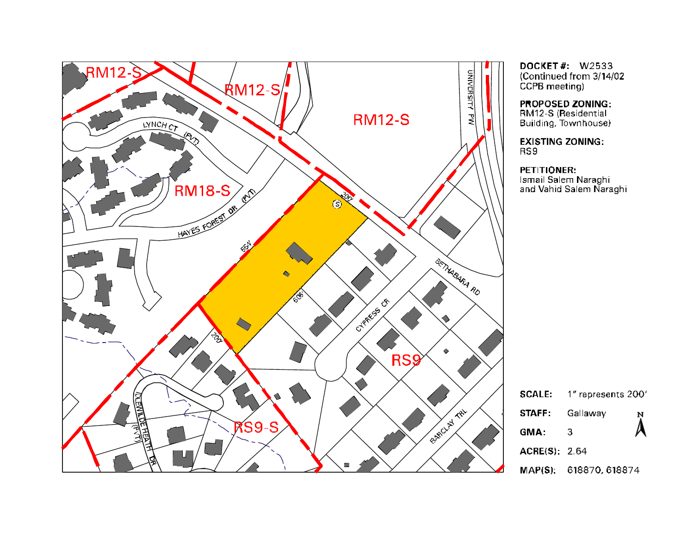

**DOCKET#: W2533** (Continued from 3/14/02 CCPB meeting)

PROPOSED ZONING: RM12-S (Residential Building, Townhouse)

**EXISTING ZONING:** RS9

PETITIONER:

Ismail Salem Naraghi<br>Ismail Salem Naraghi

| <b>SCALE:</b>        | 1" represents 200'     |                  |  |  |
|----------------------|------------------------|------------------|--|--|
| STAFF:               | Gallaway               | $\sum_{i=1}^{N}$ |  |  |
| GMA:                 | 3                      |                  |  |  |
| <b>ACRE(S): 2.64</b> |                        |                  |  |  |
|                      | MAP(S): 618870, 618874 |                  |  |  |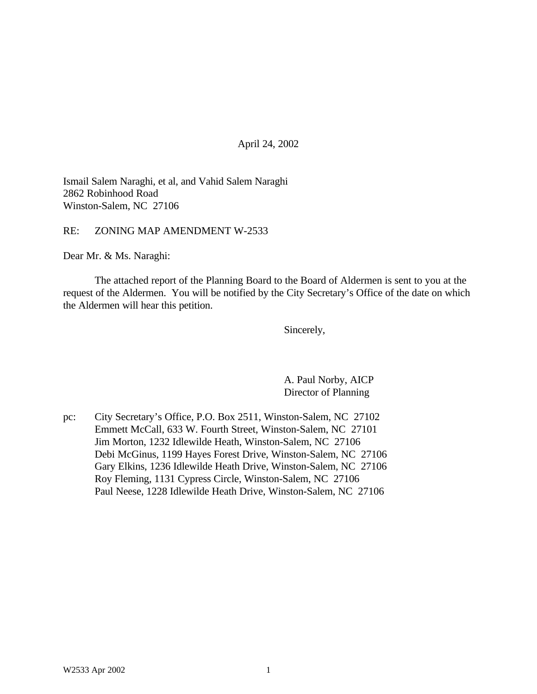April 24, 2002

Ismail Salem Naraghi, et al, and Vahid Salem Naraghi 2862 Robinhood Road Winston-Salem, NC 27106

RE: ZONING MAP AMENDMENT W-2533

Dear Mr. & Ms. Naraghi:

The attached report of the Planning Board to the Board of Aldermen is sent to you at the request of the Aldermen. You will be notified by the City Secretary's Office of the date on which the Aldermen will hear this petition.

Sincerely,

A. Paul Norby, AICP Director of Planning

pc: City Secretary's Office, P.O. Box 2511, Winston-Salem, NC 27102 Emmett McCall, 633 W. Fourth Street, Winston-Salem, NC 27101 Jim Morton, 1232 Idlewilde Heath, Winston-Salem, NC 27106 Debi McGinus, 1199 Hayes Forest Drive, Winston-Salem, NC 27106 Gary Elkins, 1236 Idlewilde Heath Drive, Winston-Salem, NC 27106 Roy Fleming, 1131 Cypress Circle, Winston-Salem, NC 27106 Paul Neese, 1228 Idlewilde Heath Drive, Winston-Salem, NC 27106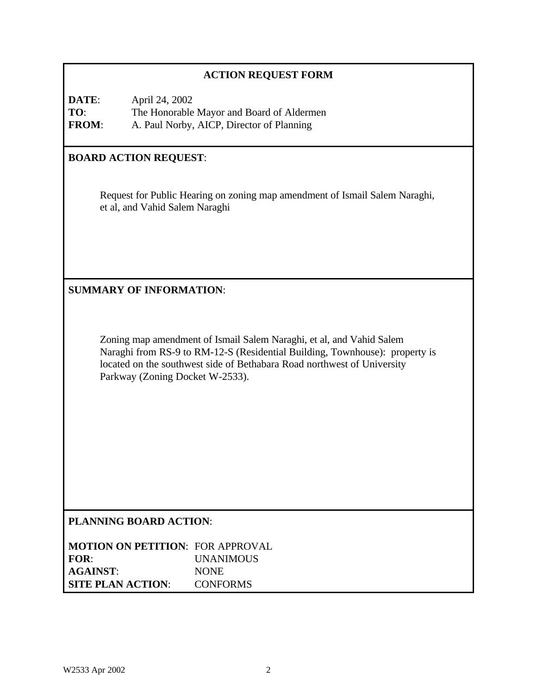## **ACTION REQUEST FORM**

**DATE**: April 24, 2002 **TO**: The Honorable Mayor and Board of Aldermen **FROM**: A. Paul Norby, AICP, Director of Planning

## **BOARD ACTION REQUEST**:

Request for Public Hearing on zoning map amendment of Ismail Salem Naraghi, et al, and Vahid Salem Naraghi

### **SUMMARY OF INFORMATION**:

Zoning map amendment of Ismail Salem Naraghi, et al, and Vahid Salem Naraghi from RS-9 to RM-12-S (Residential Building, Townhouse): property is located on the southwest side of Bethabara Road northwest of University Parkway (Zoning Docket W-2533).

## **PLANNING BOARD ACTION**:

**MOTION ON PETITION**: FOR APPROVAL **FOR**: UNANIMOUS **AGAINST**: NONE **SITE PLAN ACTION**: CONFORMS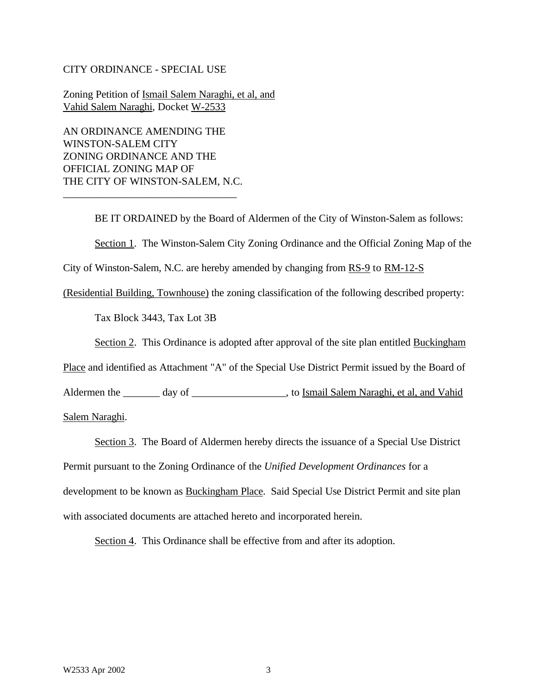#### CITY ORDINANCE - SPECIAL USE

Zoning Petition of Ismail Salem Naraghi, et al, and Vahid Salem Naraghi, Docket W-2533

AN ORDINANCE AMENDING THE WINSTON-SALEM CITY ZONING ORDINANCE AND THE OFFICIAL ZONING MAP OF THE CITY OF WINSTON-SALEM, N.C.

\_\_\_\_\_\_\_\_\_\_\_\_\_\_\_\_\_\_\_\_\_\_\_\_\_\_\_\_\_\_\_\_\_

BE IT ORDAINED by the Board of Aldermen of the City of Winston-Salem as follows: Section 1. The Winston-Salem City Zoning Ordinance and the Official Zoning Map of the City of Winston-Salem, N.C. are hereby amended by changing from RS-9 to RM-12-S

(Residential Building, Townhouse) the zoning classification of the following described property:

Tax Block 3443, Tax Lot 3B

Section 2. This Ordinance is adopted after approval of the site plan entitled Buckingham

Place and identified as Attachment "A" of the Special Use District Permit issued by the Board of

Aldermen the \_\_\_\_\_\_\_ day of \_\_\_\_\_\_\_\_\_\_\_\_\_\_\_\_\_\_\_, to Ismail Salem Naraghi, et al, and Vahid

Salem Naraghi.

Section 3. The Board of Aldermen hereby directs the issuance of a Special Use District Permit pursuant to the Zoning Ordinance of the *Unified Development Ordinances* for a development to be known as **Buckingham Place**. Said Special Use District Permit and site plan with associated documents are attached hereto and incorporated herein.

Section 4. This Ordinance shall be effective from and after its adoption.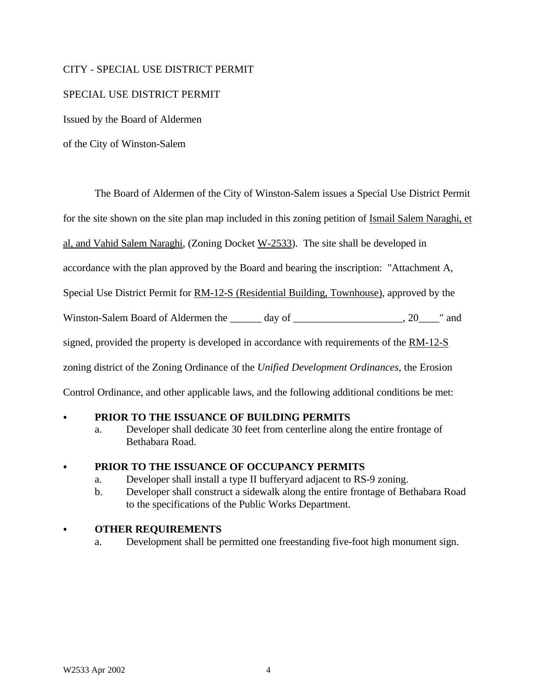### CITY - SPECIAL USE DISTRICT PERMIT

### SPECIAL USE DISTRICT PERMIT

Issued by the Board of Aldermen

of the City of Winston-Salem

The Board of Aldermen of the City of Winston-Salem issues a Special Use District Permit

for the site shown on the site plan map included in this zoning petition of Ismail Salem Naraghi, et

al, and Vahid Salem Naraghi, (Zoning Docket W-2533). The site shall be developed in

accordance with the plan approved by the Board and bearing the inscription: "Attachment A,

Special Use District Permit for RM-12-S (Residential Building, Townhouse), approved by the

Winston-Salem Board of Aldermen the \_\_\_\_\_\_ day of \_\_\_\_\_\_\_\_\_\_\_\_\_\_\_\_\_\_, 20\_\_\_\_" and

signed, provided the property is developed in accordance with requirements of the RM-12-S

zoning district of the Zoning Ordinance of the *Unified Development Ordinances*, the Erosion

Control Ordinance, and other applicable laws, and the following additional conditions be met:

## PRIOR TO THE ISSUANCE OF BUILDING PERMITS

a. Developer shall dedicate 30 feet from centerline along the entire frontage of Bethabara Road.

#### C **PRIOR TO THE ISSUANCE OF OCCUPANCY PERMITS**

- a. Developer shall install a type II bufferyard adjacent to RS-9 zoning.
- b. Developer shall construct a sidewalk along the entire frontage of Bethabara Road to the specifications of the Public Works Department.

#### C **OTHER REQUIREMENTS**

a. Development shall be permitted one freestanding five-foot high monument sign.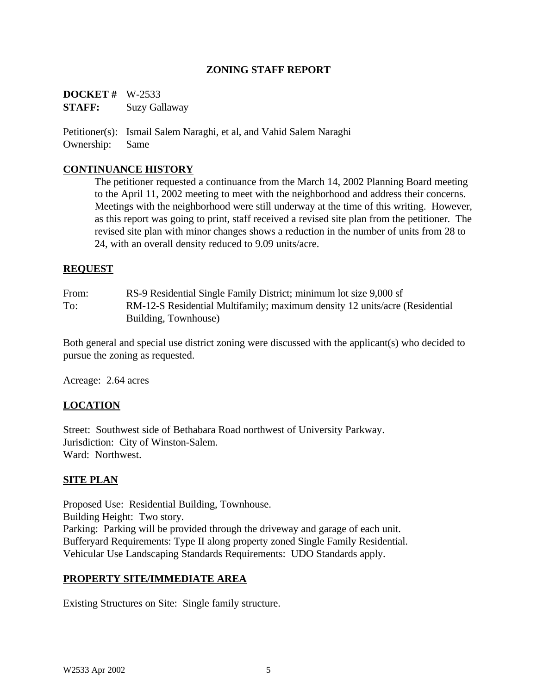## **ZONING STAFF REPORT**

**DOCKET #** W-2533 **STAFF:** Suzy Gallaway

Petitioner(s): Ismail Salem Naraghi, et al, and Vahid Salem Naraghi Ownership: Same

#### **CONTINUANCE HISTORY**

The petitioner requested a continuance from the March 14, 2002 Planning Board meeting to the April 11, 2002 meeting to meet with the neighborhood and address their concerns. Meetings with the neighborhood were still underway at the time of this writing. However, as this report was going to print, staff received a revised site plan from the petitioner. The revised site plan with minor changes shows a reduction in the number of units from 28 to 24, with an overall density reduced to 9.09 units/acre.

#### **REQUEST**

From: RS-9 Residential Single Family District; minimum lot size 9,000 sf To: RM-12-S Residential Multifamily; maximum density 12 units/acre (Residential Building, Townhouse)

Both general and special use district zoning were discussed with the applicant(s) who decided to pursue the zoning as requested.

Acreage: 2.64 acres

#### **LOCATION**

Street: Southwest side of Bethabara Road northwest of University Parkway. Jurisdiction: City of Winston-Salem. Ward: Northwest.

#### **SITE PLAN**

Proposed Use: Residential Building, Townhouse. Building Height: Two story. Parking: Parking will be provided through the driveway and garage of each unit. Bufferyard Requirements: Type II along property zoned Single Family Residential. Vehicular Use Landscaping Standards Requirements: UDO Standards apply.

#### **PROPERTY SITE/IMMEDIATE AREA**

Existing Structures on Site: Single family structure.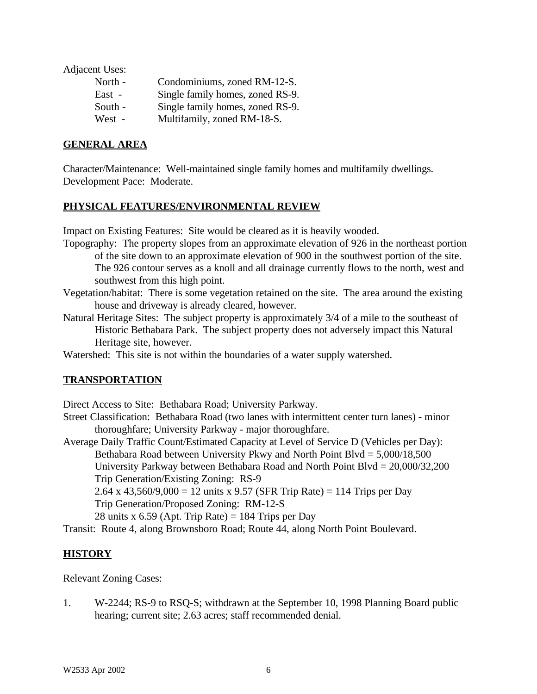Adjacent Uses:

| North -  | Condominiums, zoned RM-12-S.     |
|----------|----------------------------------|
| $East -$ | Single family homes, zoned RS-9. |
| South -  | Single family homes, zoned RS-9. |
| West -   | Multifamily, zoned RM-18-S.      |

### **GENERAL AREA**

Character/Maintenance: Well-maintained single family homes and multifamily dwellings. Development Pace: Moderate.

#### **PHYSICAL FEATURES/ENVIRONMENTAL REVIEW**

Impact on Existing Features: Site would be cleared as it is heavily wooded.

- Topography: The property slopes from an approximate elevation of 926 in the northeast portion of the site down to an approximate elevation of 900 in the southwest portion of the site. The 926 contour serves as a knoll and all drainage currently flows to the north, west and southwest from this high point.
- Vegetation/habitat: There is some vegetation retained on the site. The area around the existing house and driveway is already cleared, however.
- Natural Heritage Sites: The subject property is approximately 3/4 of a mile to the southeast of Historic Bethabara Park. The subject property does not adversely impact this Natural Heritage site, however.
- Watershed: This site is not within the boundaries of a water supply watershed.

#### **TRANSPORTATION**

Direct Access to Site: Bethabara Road; University Parkway.

- Street Classification: Bethabara Road (two lanes with intermittent center turn lanes) minor thoroughfare; University Parkway - major thoroughfare.
- Average Daily Traffic Count/Estimated Capacity at Level of Service D (Vehicles per Day): Bethabara Road between University Pkwy and North Point Blvd = 5,000/18,500 University Parkway between Bethabara Road and North Point Blvd = 20,000/32,200

Trip Generation/Existing Zoning: RS-9

2.64 x 43,560/9,000 = 12 units x 9.57 (SFR Trip Rate) = 114 Trips per Day

Trip Generation/Proposed Zoning: RM-12-S

28 units x 6.59 (Apt. Trip Rate) = 184 Trips per Day

Transit: Route 4, along Brownsboro Road; Route 44, along North Point Boulevard.

#### **HISTORY**

Relevant Zoning Cases:

1. W-2244; RS-9 to RSQ-S; withdrawn at the September 10, 1998 Planning Board public hearing; current site; 2.63 acres; staff recommended denial.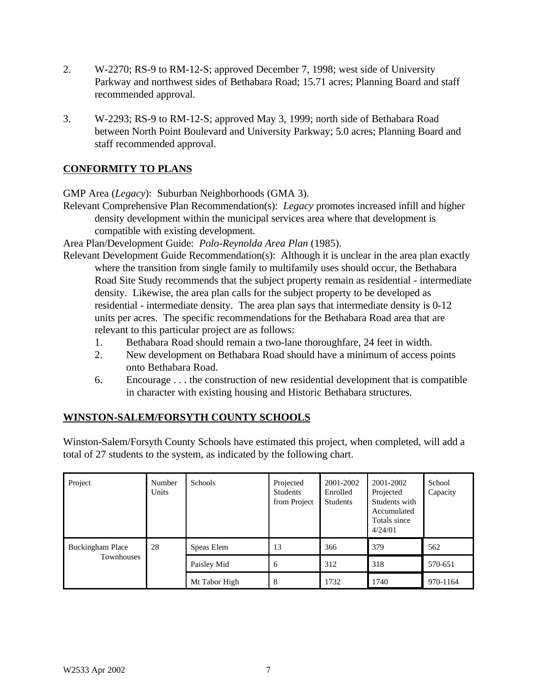- 2. W-2270; RS-9 to RM-12-S; approved December 7, 1998; west side of University Parkway and northwest sides of Bethabara Road; 15.71 acres; Planning Board and staff recommended approval.
- 3. W-2293; RS-9 to RM-12-S; approved May 3, 1999; north side of Bethabara Road between North Point Boulevard and University Parkway; 5.0 acres; Planning Board and staff recommended approval.

# **CONFORMITY TO PLANS**

GMP Area (*Legacy*): Suburban Neighborhoods (GMA 3).

Relevant Comprehensive Plan Recommendation(s): *Legacy* promotes increased infill and higher density development within the municipal services area where that development is compatible with existing development.

Area Plan/Development Guide: *Polo-Reynolda Area Plan* (1985).

- Relevant Development Guide Recommendation(s): Although it is unclear in the area plan exactly where the transition from single family to multifamily uses should occur, the Bethabara Road Site Study recommends that the subject property remain as residential - intermediate density. Likewise, the area plan calls for the subject property to be developed as residential - intermediate density. The area plan says that intermediate density is 0-12 units per acres. The specific recommendations for the Bethabara Road area that are relevant to this particular project are as follows:
	- 1. Bethabara Road should remain a two-lane thoroughfare, 24 feet in width.
	- 2. New development on Bethabara Road should have a minimum of access points onto Bethabara Road.
	- 6. Encourage . . . the construction of new residential development that is compatible in character with existing housing and Historic Bethabara structures.

# **WINSTON-SALEM/FORSYTH COUNTY SCHOOLS**

Winston-Salem/Forsyth County Schools have estimated this project, when completed, will add a total of 27 students to the system, as indicated by the following chart.

| Project                               | Number<br>Units | <b>Schools</b> | Projected<br>Students<br>from Project | 2001-2002<br>Enrolled<br><b>Students</b> | 2001-2002<br>Projected<br>Students with<br>Accumulated<br>Totals since<br>4/24/01 | School<br>Capacity |
|---------------------------------------|-----------------|----------------|---------------------------------------|------------------------------------------|-----------------------------------------------------------------------------------|--------------------|
| <b>Buckingham Place</b><br>Townhouses | 28              | Speas Elem     | 13                                    | 366                                      | 379                                                                               | 562                |
|                                       |                 | Paisley Mid    | 6                                     | 312                                      | 318                                                                               | 570-651            |
|                                       |                 | Mt Tabor High  | 8                                     | 1732                                     | 1740                                                                              | 970-1164           |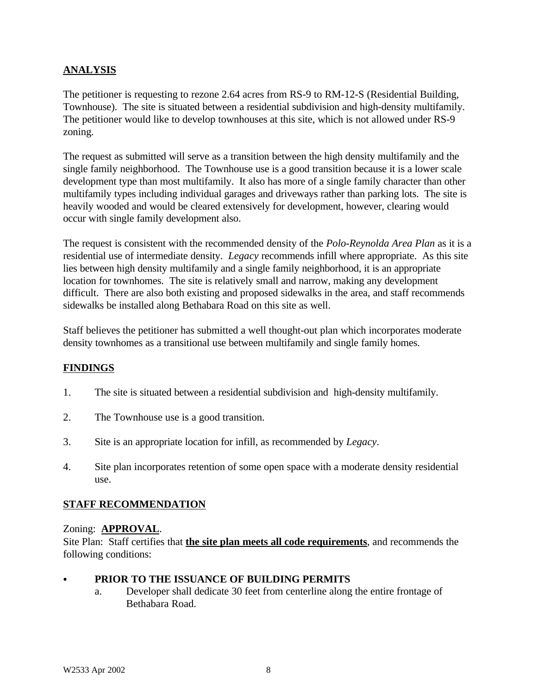## **ANALYSIS**

The petitioner is requesting to rezone 2.64 acres from RS-9 to RM-12-S (Residential Building, Townhouse). The site is situated between a residential subdivision and high-density multifamily. The petitioner would like to develop townhouses at this site, which is not allowed under RS-9 zoning.

The request as submitted will serve as a transition between the high density multifamily and the single family neighborhood. The Townhouse use is a good transition because it is a lower scale development type than most multifamily. It also has more of a single family character than other multifamily types including individual garages and driveways rather than parking lots. The site is heavily wooded and would be cleared extensively for development, however, clearing would occur with single family development also.

The request is consistent with the recommended density of the *Polo-Reynolda Area Plan* as it is a residential use of intermediate density. *Legacy* recommends infill where appropriate. As this site lies between high density multifamily and a single family neighborhood, it is an appropriate location for townhomes. The site is relatively small and narrow, making any development difficult. There are also both existing and proposed sidewalks in the area, and staff recommends sidewalks be installed along Bethabara Road on this site as well.

Staff believes the petitioner has submitted a well thought-out plan which incorporates moderate density townhomes as a transitional use between multifamily and single family homes.

## **FINDINGS**

- 1. The site is situated between a residential subdivision and high-density multifamily.
- 2. The Townhouse use is a good transition.
- 3. Site is an appropriate location for infill, as recommended by *Legacy*.
- 4. Site plan incorporates retention of some open space with a moderate density residential use.

## **STAFF RECOMMENDATION**

#### Zoning: **APPROVAL**.

Site Plan: Staff certifies that **the site plan meets all code requirements**, and recommends the following conditions:

#### PRIOR TO THE ISSUANCE OF BUILDING PERMITS

a. Developer shall dedicate 30 feet from centerline along the entire frontage of Bethabara Road.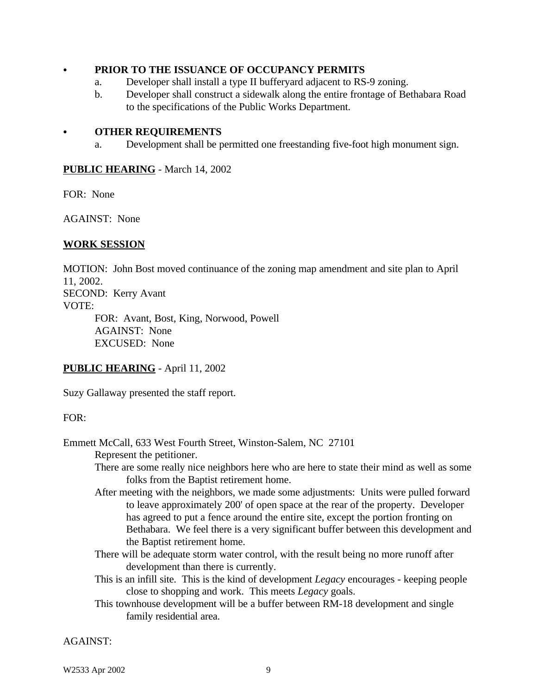#### C **PRIOR TO THE ISSUANCE OF OCCUPANCY PERMITS**

- a. Developer shall install a type II bufferyard adjacent to RS-9 zoning.
- b. Developer shall construct a sidewalk along the entire frontage of Bethabara Road to the specifications of the Public Works Department.

#### C **OTHER REQUIREMENTS**

a. Development shall be permitted one freestanding five-foot high monument sign.

#### **PUBLIC HEARING** - March 14, 2002

FOR: None

AGAINST: None

#### **WORK SESSION**

MOTION: John Bost moved continuance of the zoning map amendment and site plan to April 11, 2002. SECOND: Kerry Avant VOTE: FOR: Avant, Bost, King, Norwood, Powell

AGAINST: None EXCUSED: None

#### **PUBLIC HEARING** - April 11, 2002

Suzy Gallaway presented the staff report.

#### FOR:

Emmett McCall, 633 West Fourth Street, Winston-Salem, NC 27101 Represent the petitioner.

> There are some really nice neighbors here who are here to state their mind as well as some folks from the Baptist retirement home.

- After meeting with the neighbors, we made some adjustments: Units were pulled forward to leave approximately 200' of open space at the rear of the property. Developer has agreed to put a fence around the entire site, except the portion fronting on Bethabara. We feel there is a very significant buffer between this development and the Baptist retirement home.
- There will be adequate storm water control, with the result being no more runoff after development than there is currently.
- This is an infill site. This is the kind of development *Legacy* encourages keeping people close to shopping and work. This meets *Legacy* goals.
- This townhouse development will be a buffer between RM-18 development and single family residential area.

AGAINST: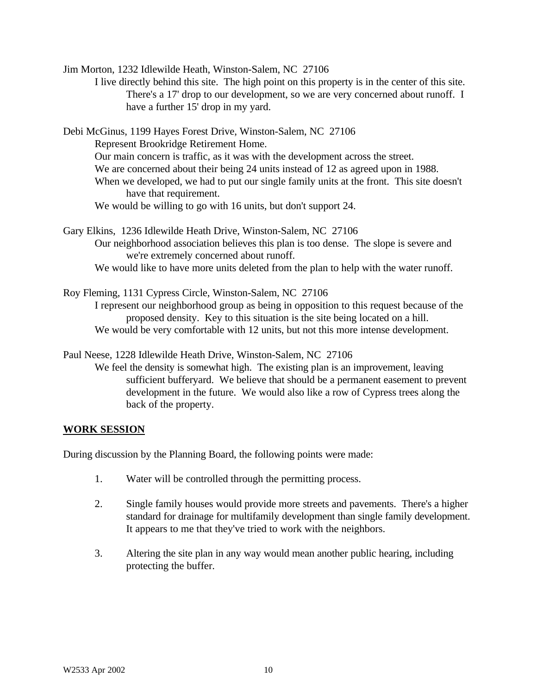Jim Morton, 1232 Idlewilde Heath, Winston-Salem, NC 27106

I live directly behind this site. The high point on this property is in the center of this site. There's a 17' drop to our development, so we are very concerned about runoff. I have a further 15' drop in my yard.

Debi McGinus, 1199 Hayes Forest Drive, Winston-Salem, NC 27106 Represent Brookridge Retirement Home. Our main concern is traffic, as it was with the development across the street. We are concerned about their being 24 units instead of 12 as agreed upon in 1988. When we developed, we had to put our single family units at the front. This site doesn't have that requirement. We would be willing to go with 16 units, but don't support 24.

Gary Elkins, 1236 Idlewilde Heath Drive, Winston-Salem, NC 27106 Our neighborhood association believes this plan is too dense. The slope is severe and we're extremely concerned about runoff. We would like to have more units deleted from the plan to help with the water runoff.

Roy Fleming, 1131 Cypress Circle, Winston-Salem, NC 27106 I represent our neighborhood group as being in opposition to this request because of the proposed density. Key to this situation is the site being located on a hill. We would be very comfortable with 12 units, but not this more intense development.

Paul Neese, 1228 Idlewilde Heath Drive, Winston-Salem, NC 27106

We feel the density is somewhat high. The existing plan is an improvement, leaving sufficient bufferyard. We believe that should be a permanent easement to prevent development in the future. We would also like a row of Cypress trees along the back of the property.

#### **WORK SESSION**

During discussion by the Planning Board, the following points were made:

- 1. Water will be controlled through the permitting process.
- 2. Single family houses would provide more streets and pavements. There's a higher standard for drainage for multifamily development than single family development. It appears to me that they've tried to work with the neighbors.
- 3. Altering the site plan in any way would mean another public hearing, including protecting the buffer.